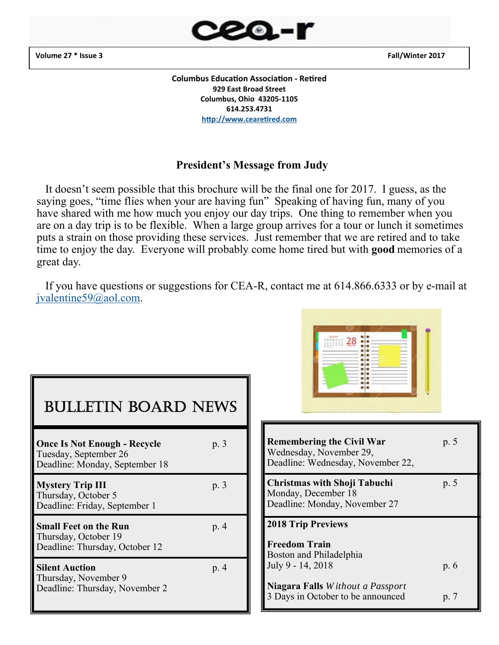**Volume 27 \* Issue 3 Fall/Winter 2017** 



**Columbus Education Association - Retired 929 East Broad Street Columbus, Ohio 43205‐1105 614.253.4731**  http://www.cearetired.com

#### **President's Message from Judy**

 It doesn't seem possible that this brochure will be the final one for 2017. I guess, as the saying goes, "time flies when your are having fun" Speaking of having fun, many of you have shared with me how much you enjoy our day trips. One thing to remember when you are on a day trip is to be flexible. When a large group arrives for a tour or lunch it sometimes puts a strain on those providing these services. Just remember that we are retired and to take time to enjoy the day. Everyone will probably come home tired but with **good** memories of a great day.

 If you have questions or suggestions for CEA-R, contact me at 614.866.6333 or by e-mail at jvalentine59@aol.com.

| <b>BULLETIN BOARD NEWS</b>                                                                     |      |
|------------------------------------------------------------------------------------------------|------|
| <b>Once Is Not Enough - Recycle</b><br>Tuesday, September 26<br>Deadline: Monday, September 18 | p. 3 |
| <b>Mystery Trip III</b><br>Thursday, October 5<br>Deadline: Friday, September 1                | p. 3 |
| <b>Small Feet on the Run</b><br>Thursday, October 19<br>Deadline: Thursday, October 12         | p. 4 |
| <b>Silent Auction</b><br>Thursday, November 9<br>Deadline: Thursday, November 2                | p. 4 |



| <b>Remembering the Civil War</b><br>Wednesday, November 29,<br>Deadline: Wednesday, November 22, | p. 5                         |
|--------------------------------------------------------------------------------------------------|------------------------------|
| <b>Christmas with Shoji Tabuchi</b><br>Monday, December 18<br>Deadline: Monday, November 27      | p. 5                         |
| <b>2018 Trip Previews</b>                                                                        |                              |
| <b>Freedom Train</b><br>Boston and Philadelphia<br>July 9 - 14, 2018                             | p. 6                         |
| <b>Niagara Falls</b> Without a Passport<br>3 Days in October to be announced                     | $\mathfrak{p}, \mathfrak{p}$ |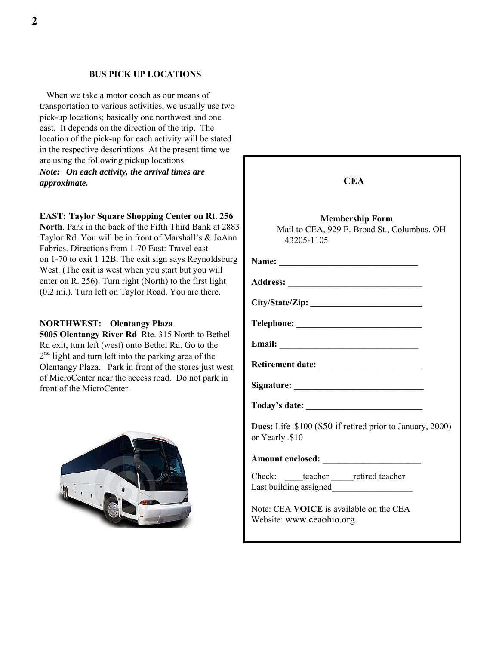#### **BUS PICK UP LOCATIONS**

 When we take a motor coach as our means of transportation to various activities, we usually use two pick-up locations; basically one northwest and one east. It depends on the direction of the trip. The location of the pick-up for each activity will be stated in the respective descriptions. At the present time we are using the following pickup locations. *Note: On each activity, the arrival times are* 

*approximate.* 

#### **EAST: Taylor Square Shopping Center on Rt. 256**

North. Park in the back of the Fifth Third Bank at 288 Taylor Rd. You will be in front of Marshall's & JoAn Fabrics. Directions from 1-70 East: Travel east on 1-70 to exit 1 12B. The exit sign says Reynoldsburg West. (The exit is west when you start but you will enter on R. 256). Turn right (North) to the first light (0.2 mi.). Turn left on Taylor Road. You are there.

#### **NORTHWEST: Olentangy Plaza**

**5005 Olentangy River Rd** Rte. 315 North to Bethel Rd exit, turn left (west) onto Bethel Rd. Go to the  $2<sup>nd</sup>$  light and turn left into the parking area of the Olentangy Plaza. Park in front of the stores just west of MicroCenter near the access road. Do not park in front of the MicroCenter.



|         | <b>CEA</b>                                                                          |
|---------|-------------------------------------------------------------------------------------|
| 83<br>n | <b>Membership Form</b><br>Mail to CEA, 929 E. Broad St., Columbus. OH<br>43205-1105 |
| .<br>S  |                                                                                     |
|         |                                                                                     |
|         |                                                                                     |
|         |                                                                                     |
|         |                                                                                     |
|         |                                                                                     |
|         |                                                                                     |
|         |                                                                                     |
|         | <b>Dues:</b> Life \$100 (\$50 if retired prior to January, 2000)<br>or Yearly \$10  |
|         |                                                                                     |
|         | Check: teacher retired teacher<br>Last building assigned                            |
|         | Note: CEA VOICE is available on the CEA<br>Website: www.ceaohio.org.                |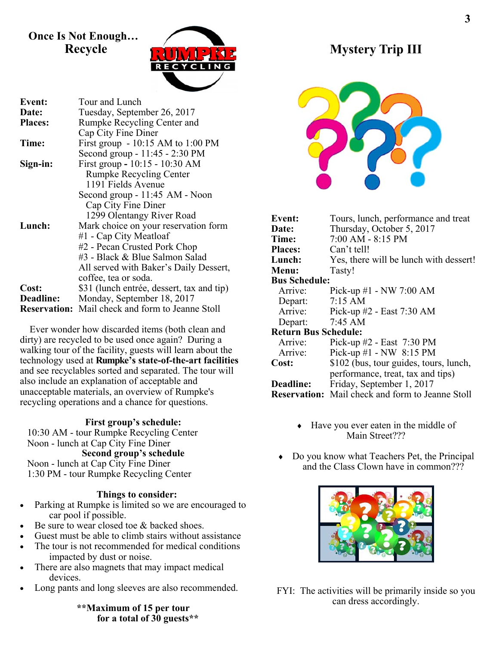### **Once Is Not Enough… Recycle**



| <b>Event:</b>       | Tour and Lunch                            |
|---------------------|-------------------------------------------|
| Date:               | Tuesday, September 26, 2017               |
| <b>Places:</b>      | Rumpke Recycling Center and               |
|                     | Cap City Fine Diner                       |
| Time:               | First group $-10:15$ AM to $1:00$ PM      |
|                     | Second group - 11:45 - 2:30 PM            |
| Sign-in:            | First group - 10:15 - 10:30 AM            |
|                     | <b>Rumpke Recycling Center</b>            |
|                     | 1191 Fields Avenue                        |
|                     | Second group - 11:45 AM - Noon            |
|                     | Cap City Fine Diner                       |
|                     | 1299 Olentangy River Road                 |
| Lunch:              | Mark choice on your reservation form      |
|                     | #1 - Cap City Meatloaf                    |
|                     | #2 - Pecan Crusted Pork Chop              |
|                     | #3 - Black & Blue Salmon Salad            |
|                     | All served with Baker's Daily Dessert,    |
|                     | coffee, tea or soda.                      |
| Cost:               | \$31 (lunch entrée, dessert, tax and tip) |
| <b>Deadline:</b>    | Monday, September 18, 2017                |
| <b>Reservation:</b> | Mail check and form to Jeanne Stoll       |

 Ever wonder how discarded items (both clean and dirty) are recycled to be used once again? During a walking tour of the facility, guests will learn about the technology used at **Rumpke's state-of-the-art facilities**  and see recyclables sorted and separated. The tour will also include an explanation of acceptable and unacceptable materials, an overview of Rumpke's recycling operations and a chance for questions.

#### **First group's schedule:**

 10:30 AM - tour Rumpke Recycling Center Noon - lunch at Cap City Fine Diner **Second group's schedule**  Noon - lunch at Cap City Fine Diner 1:30 PM - tour Rumpke Recycling Center

#### **Things to consider:**

- Parking at Rumpke is limited so we are encouraged to car pool if possible.
- Be sure to wear closed toe & backed shoes.
- Guest must be able to climb stairs without assistance
- The tour is not recommended for medical conditions impacted by dust or noise.
- There are also magnets that may impact medical devices.
- Long pants and long sleeves are also recommended.

**\*\*Maximum of 15 per tour for a total of 30 guests\*\*** 

# **Mystery Trip III**



| <b>Event:</b>               | Tours, lunch, performance and treat                     |  |  |
|-----------------------------|---------------------------------------------------------|--|--|
| Date:                       | Thursday, October 5, 2017                               |  |  |
| Time:                       | $7:00$ AM - 8:15 PM                                     |  |  |
| <b>Places:</b>              | Can't tell!                                             |  |  |
| Lunch:                      | Yes, there will be lunch with dessert!                  |  |  |
| Menu:                       | Tasty!                                                  |  |  |
| <b>Bus Schedule:</b>        |                                                         |  |  |
| Arrive:                     | Pick-up $#1$ - NW 7:00 AM                               |  |  |
| Depart:                     | $7:15 \text{ AM}$                                       |  |  |
| Arrive:                     | Pick-up #2 - East 7:30 AM                               |  |  |
| Depart:                     | 7:45 AM                                                 |  |  |
| <b>Return Bus Schedule:</b> |                                                         |  |  |
| Arrive:                     | Pick-up #2 - East 7:30 PM                               |  |  |
| Arrive:                     | Pick-up $#1$ - NW 8:15 PM                               |  |  |
| Cost:                       | \$102 (bus, tour guides, tours, lunch,                  |  |  |
|                             | performance, treat, tax and tips)                       |  |  |
| <b>Deadline:</b>            | Friday, September 1, 2017                               |  |  |
|                             | <b>Reservation:</b> Mail check and form to Jeanne Stoll |  |  |
|                             |                                                         |  |  |

- Have you ever eaten in the middle of Main Street???
- Do you know what Teachers Pet, the Principal and the Class Clown have in common???



FYI: The activities will be primarily inside so you can dress accordingly.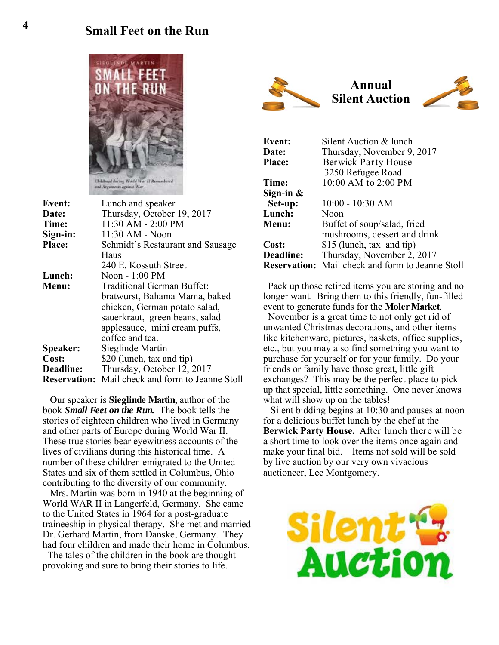# **4 Small Feet on the Run**



| Event:          | Lunch and speaker                                       |
|-----------------|---------------------------------------------------------|
| Date:           | Thursday, October 19, 2017                              |
| Time:           | 11:30 AM - 2:00 PM                                      |
| Sign-in:        | 11:30 AM - Noon                                         |
| Place:          | Schmidt's Restaurant and Sausage                        |
|                 | Haus                                                    |
|                 | 240 E. Kossuth Street                                   |
| Lunch:          | Noon - 1:00 PM                                          |
| Menu:           | <b>Traditional German Buffet:</b>                       |
|                 | bratwurst, Bahama Mama, baked                           |
|                 | chicken, German potato salad,                           |
|                 | sauerkraut, green beans, salad                          |
|                 | applesauce, mini cream puffs,                           |
|                 | coffee and tea.                                         |
| <b>Speaker:</b> | Sieglinde Martin                                        |
| Cost:           | \$20 (lunch, tax and tip)                               |
| Deadline:       | Thursday, October 12, 2017                              |
|                 | <b>Reservation:</b> Mail check and form to Jeanne Stoll |

 Our speaker is **Sieglinde Martin**, author of the book *Small Feet on the Run.* The book tells the stories of eighteen children who lived in Germany and other parts of Europe during World War II. These true stories bear eyewitness accounts of the lives of civilians during this historical time. A number of these children emigrated to the United States and six of them settled in Columbus, Ohio contributing to the diversity of our community.

 Mrs. Martin was born in 1940 at the beginning of World WAR II in Langerfeld, Germany. She came to the United States in 1964 for a post-graduate traineeship in physical therapy. She met and married Dr. Gerhard Martin, from Danske, Germany. They had four children and made their home in Columbus.

 The tales of the children in the book are thought provoking and sure to bring their stories to life.



| <b>Event:</b> | Silent Auction & lunch                                  |
|---------------|---------------------------------------------------------|
| Date:         | Thursday, November 9, 2017                              |
| <b>Place:</b> | Berwick Party House                                     |
|               | 3250 Refugee Road                                       |
| Time:         | 10:00 AM to 2:00 PM                                     |
| Sign-in $\&$  |                                                         |
| Set-up:       | $10:00 - 10:30$ AM                                      |
| Lunch:        | Noon                                                    |
| Menu:         | Buffet of soup/salad, fried                             |
|               | mushrooms, dessert and drink                            |
| Cost:         | \$15 (lunch, tax and tip)                               |
| Deadline:     | Thursday, November 2, 2017                              |
|               | <b>Reservation:</b> Mail check and form to Jeanne Stoll |

 Pack up those retired items you are storing and no longer want. Bring them to this friendly, fun-filled event to generate funds for the **Moler Market**.

 November is a great time to not only get rid of unwanted Christmas decorations, and other items like kitchenware, pictures, baskets, office supplies, etc., but you may also find something you want to purchase for yourself or for your family. Do your friends or family have those great, little gift exchanges? This may be the perfect place to pick up that special, little something. One never knows what will show up on the tables!

 Silent bidding begins at 10:30 and pauses at noon for a delicious buffet lunch by the chef at the **Berwick Party House.** After lunch there will be a short time to look over the items once again and make your final bid. Items not sold will be sold by live auction by our very own vivacious auctioneer, Lee Montgomery.

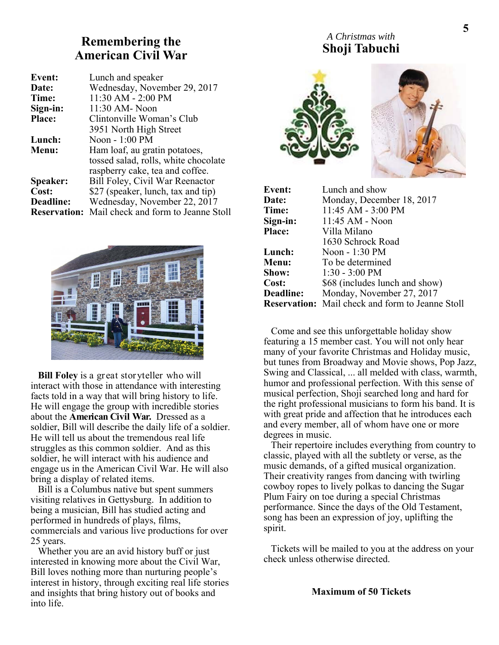## **Remembering the American Civil War**

| <b>Event:</b> | Lunch and speaker                                       |
|---------------|---------------------------------------------------------|
| Date:         | Wednesday, November 29, 2017                            |
| Time:         | 11:30 AM - 2:00 PM                                      |
| Sign-in:      | 11:30 AM- Noon                                          |
| <b>Place:</b> | Clintonville Woman's Club                               |
|               | 3951 North High Street                                  |
| Lunch:        | Noon - 1:00 PM                                          |
| Menu:         | Ham loaf, au gratin potatoes,                           |
|               | tossed salad, rolls, white chocolate                    |
|               | raspberry cake, tea and coffee.                         |
| Speaker:      | Bill Foley, Civil War Reenactor                         |
| Cost:         | \$27 (speaker, lunch, tax and tip)                      |
| Deadline:     | Wednesday, November 22, 2017                            |
|               | <b>Reservation:</b> Mail check and form to Jeanne Stoll |



 **Bill Foley** is a great storyteller who will interact with those in attendance with interesting facts told in a way that will bring history to life. He will engage the group with incredible stories about the **American Civil War.** Dressed as a soldier, Bill will describe the daily life of a soldier. He will tell us about the tremendous real life struggles as this common soldier. And as this soldier, he will interact with his audience and engage us in the American Civil War. He will also bring a display of related items.

 Bill is a Columbus native but spent summers visiting relatives in Gettysburg. In addition to being a musician, Bill has studied acting and performed in hundreds of plays, films, commercials and various live productions for over 25 years.

 Whether you are an avid history buff or just interested in knowing more about the Civil War, Bill loves nothing more than nurturing people's interest in history, through exciting real life stories and insights that bring history out of books and into life.

#### *A Christmas with*  **Shoji Tabuchi**

![](_page_4_Picture_7.jpeg)

| Event:           | Lunch and show                                          |
|------------------|---------------------------------------------------------|
| Date:            | Monday, December 18, 2017                               |
| Time:            | 11:45 AM - 3:00 PM                                      |
| Sign-in:         | 11:45 AM - Noon                                         |
| <b>Place:</b>    | Villa Milano                                            |
|                  | 1630 Schrock Road                                       |
| Lunch:           | Noon - 1:30 PM                                          |
| Menu:            | To be determined                                        |
| Show:            | $1:30 - 3:00 \text{ PM}$                                |
| <b>Cost:</b>     | \$68 (includes lunch and show)                          |
| <b>Deadline:</b> | Monday, November 27, 2017                               |
|                  | <b>Reservation:</b> Mail check and form to Jeanne Stoll |

 Come and see this unforgettable holiday show featuring a 15 member cast. You will not only hear many of your favorite Christmas and Holiday music, but tunes from Broadway and Movie shows, Pop Jazz, Swing and Classical, ... all melded with class, warmth, humor and professional perfection. With this sense of musical perfection, Shoji searched long and hard for the right professional musicians to form his band. It is with great pride and affection that he introduces each and every member, all of whom have one or more degrees in music.

 Their repertoire includes everything from country to classic, played with all the subtlety or verse, as the music demands, of a gifted musical organization. Their creativity ranges from dancing with twirling cowboy ropes to lively polkas to dancing the Sugar Plum Fairy on toe during a special Christmas performance. Since the days of the Old Testament, song has been an expression of joy, uplifting the spirit.

 Tickets will be mailed to you at the address on your check unless otherwise directed.

#### **Maximum of 50 Tickets**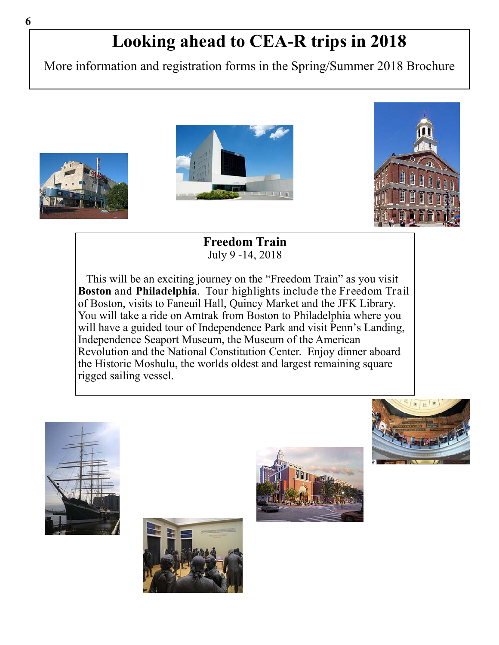# **Looking ahead to CEA-R trips in 2018**

More information and registration forms in the Spring/Summer 2018 Brochure

![](_page_5_Picture_2.jpeg)

![](_page_5_Picture_3.jpeg)

**Freedom Train**  July 9 -14, 2018

 This will be an exciting journey on the "Freedom Train" as you visit **Boston** and **Philadelphia**. Tour highlights include the Freedom Trail of Boston, visits to Faneuil Hall, Quincy Market and the JFK Library. You will take a ride on Amtrak from Boston to Philadelphia where you will have a guided tour of Independence Park and visit Penn's Landing, Independence Seaport Museum, the Museum of the American Revolution and the National Constitution Center. Enjoy dinner aboard the Historic Moshulu, the worlds oldest and largest remaining square rigged sailing vessel.

![](_page_5_Picture_6.jpeg)

![](_page_5_Picture_7.jpeg)

![](_page_5_Picture_8.jpeg)

![](_page_5_Picture_9.jpeg)

![](_page_5_Picture_10.jpeg)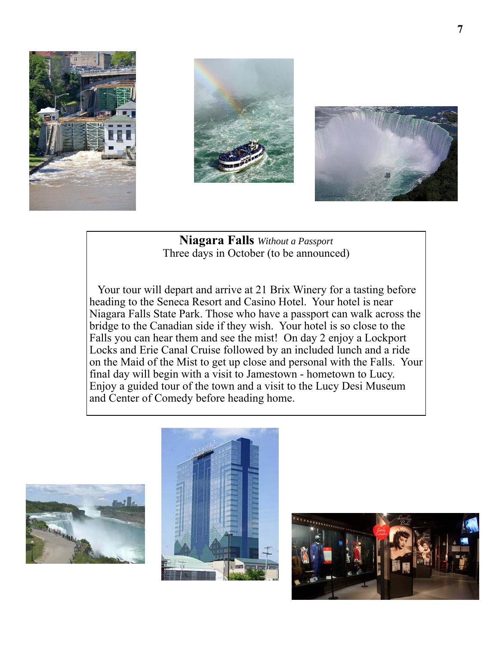![](_page_6_Picture_0.jpeg)

![](_page_6_Picture_1.jpeg)

![](_page_6_Picture_2.jpeg)

**Niagara Falls** *Without a Passport*  Three days in October (to be announced)

 Your tour will depart and arrive at 21 Brix Winery for a tasting before heading to the Seneca Resort and Casino Hotel. Your hotel is near Niagara Falls State Park. Those who have a passport can walk across the bridge to the Canadian side if they wish. Your hotel is so close to the Falls you can hear them and see the mist! On day 2 enjoy a Lockport Locks and Erie Canal Cruise followed by an included lunch and a ride on the Maid of the Mist to get up close and personal with the Falls. Your final day will begin with a visit to Jamestown - hometown to Lucy. Enjoy a guided tour of the town and a visit to the Lucy Desi Museum and Center of Comedy before heading home.

![](_page_6_Picture_5.jpeg)

![](_page_6_Picture_6.jpeg)

![](_page_6_Picture_7.jpeg)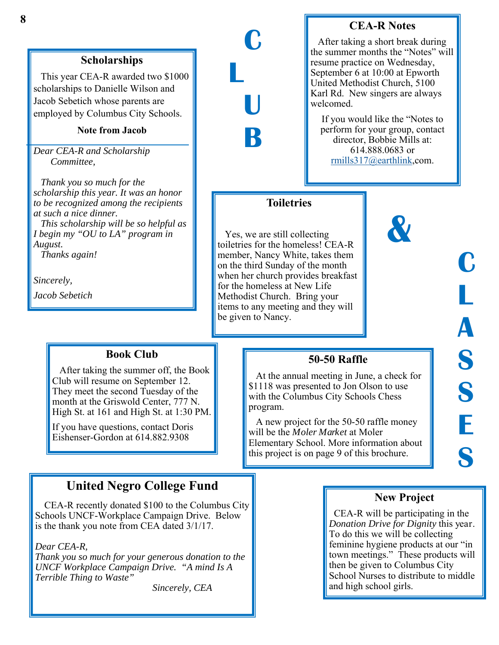### **Scholarships**

 This year CEA-R awarded two \$1000 scholarships to Danielle Wilson and Jacob Sebetich whose parents are employed by Columbus City Schools.

#### **Note from Jacob**

*Dear CEA-R and Scholarship Committee,* 

 *Thank you so much for the scholarship this year. It was an honor to be recognized among the recipients at such a nice dinner.* 

 *This scholarship will be so helpful as I begin my "OU to LA" program in August.* 

 *Thanks again!* 

*Sincerely,* 

*Jacob Sebetich* 

#### **Book Club**

 After taking the summer off, the Book Club will resume on September 12. They meet the second Tuesday of the month at the Griswold Center, 777 N. High St. at 161 and High St. at 1:30 PM.

If you have questions, contact Doris Eishenser-Gordon at 614.882.9308

# **United Negro College Fund**

 CEA-R recently donated \$100 to the Columbus City Schools UNCF-Workplace Campaign Drive. Below is the thank you note from CEA dated 3/1/17.

#### *Dear CEA-R,*

*Thank you so much for your generous donation to the UNCF Workplace Campaign Drive. "A mind Is A Terrible Thing to Waste"* 

 *Sincerely, CEA* 

#### **CEA-R Notes**

 After taking a short break during the summer months the "Notes" will resume practice on Wednesday, September 6 at 10:00 at Epworth United Methodist Church, 5100 Karl Rd. New singers are always welcomed.

If you would like the "Notes to perform for your group, contact director, Bobbie Mills at: 614.888.0683 or rmills317@earthlink,com.

#### **Toiletries**

**C** 

**U** 

**B** 

**L** 

 Yes, we are still collecting toiletries for the homeless! CEA-R member, Nancy White, takes them on the third Sunday of the month when her church provides breakfast for the homeless at New Life Methodist Church. Bring your items to any meeting and they will be given to Nancy.

# **&**

![](_page_7_Picture_23.jpeg)

# **50-50 Raffle**

 At the annual meeting in June, a check for \$1118 was presented to Jon Olson to use with the Columbus City Schools Chess program.

 A new project for the 50-50 raffle money will be the *Moler Market* at Moler Elementary School. More information about this project is on page 9 of this brochure.

#### **New Project**

 CEA-R will be participating in the *Donation Drive for Dignity* this year. To do this we will be collecting feminine hygiene products at our "in town meetings." These products will then be given to Columbus City School Nurses to distribute to middle and high school girls.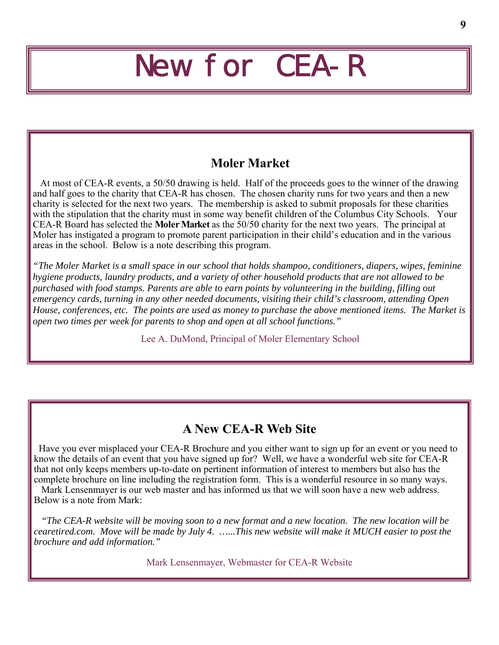# New for CEA-R

# **Moler Market**

 At most of CEA-R events, a 50/50 drawing is held. Half of the proceeds goes to the winner of the drawing and half goes to the charity that CEA-R has chosen. The chosen charity runs for two years and then a new charity is selected for the next two years. The membership is asked to submit proposals for these charities with the stipulation that the charity must in some way benefit children of the Columbus City Schools. Your CEA-R Board has selected the **Moler Market** as the 50/50 charity for the next two years. The principal at Moler has instigated a program to promote parent participation in their child's education and in the various areas in the school. Below is a note describing this program.

*"The Moler Market is a small space in our school that holds shampoo, conditioners, diapers, wipes, feminine hygiene products, laundry products, and a variety of other household products that are not allowed to be purchased with food stamps. Parents are able to earn points by volunteering in the building, filling out emergency cards, turning in any other needed documents, visiting their child's classroom, attending Open House, conferences, etc. The points are used as money to purchase the above mentioned items. The Market is open two times per week for parents to shop and open at all school functions."* 

Lee A. DuMond, Principal of Moler Elementary School

# **A New CEA-R Web Site**

 Have you ever misplaced your CEA-R Brochure and you either want to sign up for an event or you need to know the details of an event that you have signed up for? Well, we have a wonderful web site for CEA-R that not only keeps members up-to-date on pertinent information of interest to members but also has the complete brochure on line including the registration form. This is a wonderful resource in so many ways.

 Mark Lensenmayer is our web master and has informed us that we will soon have a new web address. Below is a note from Mark:

 *"The CEA-R website will be moving soon to a new format and a new location. The new location will be cearetired.com. Move will be made by July 4. …...This new website will make it MUCH easier to post the brochure and add information."* 

Mark Lensenmayer, Webmaster for CEA-R Website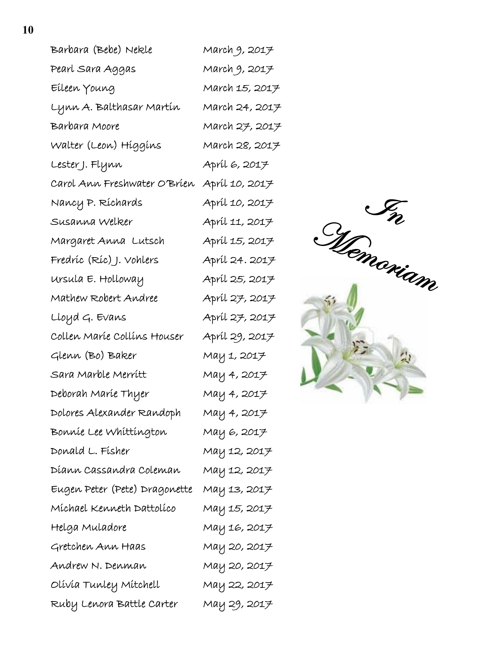| Barbara (Bebe) Nekle          | March 9, 2017  |
|-------------------------------|----------------|
| Pearl Sara Aggas              | March 9, 2017  |
| Eileen Young                  | March 15, 2017 |
| Lynn A. Balthasar Martín      | March 24, 2017 |
| Barbara Moore                 | March 27, 2017 |
| Walter (Leon) Híggíns         | March 28, 2017 |
| Lester J. Flynn               | Apríl 6, 2017  |
| Carol Ann Freshwater O'Bríen  | Apríl 10, 2017 |
| Nancy P. Ríchards             | Apríl 10, 2017 |
| Susanna Welker                | Apríl 11, 2017 |
| Margaret Anna Lutsch          | Apríl 15, 2017 |
| Fredríc (Ríc) J. Vohlers      | Apríl 24. 2017 |
| ursula E. Holloway            | Apríl 25, 2017 |
| Mathew Robert Andree          | Apríl 27, 2017 |
| Lloyd G. Evans                | Apríl 27, 2017 |
| Collen Maríe Collíns Houser   | Apríl 29, 2017 |
| Glenn (Bo) Baker              | May 1, 2017    |
| Sara Marble Merrítt           | May 4, 2017    |
| Deborah Maríe Thyer           | May 4, 2017    |
| Dolores Alexander Randoph     | May 4, 2017    |
| Bonníe Lee Whíttíngton        | May 6, 2017    |
| Donald L. Físher              | May 12, 2017   |
| Díann Cassandra Coleman       | May 12, 2017   |
| Eugen Peter (Pete) Dragonette | May 13, 2017   |
| Míchael Kenneth Dattolíco     | May 15, 2017   |
| Helga Muladore                | May 16, 2017   |
| Gretchen Ann Haas             | May 20, 2017   |
| Andrew N. Denman              | May 20, 2017   |
| Olívía Tunley Mítchell        | May 22, 2017   |
| Ruby Lenora Battle Carter     | May 29, 2017   |

![](_page_9_Picture_1.jpeg)